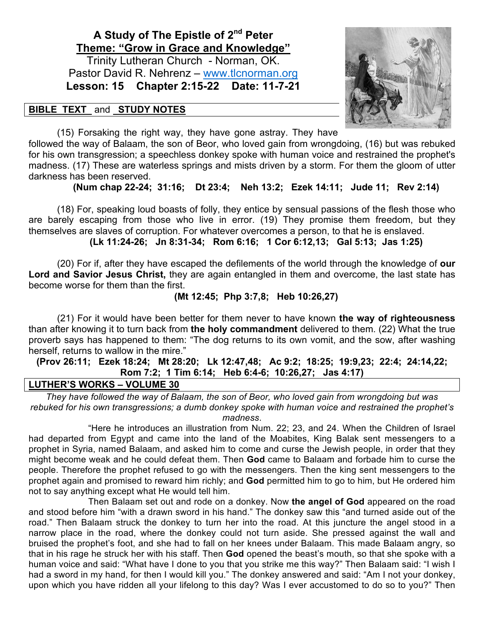# **A Study of The Epistle of 2nd Peter Theme: "Grow in Grace and Knowledge"**

Trinity Lutheran Church - Norman, OK. Pastor David R. Nehrenz - www.tlcnorman.org **Lesson: 15 Chapter 2:15-22 Date: 11-7-21**

## **BIBLE TEXT** and **STUDY NOTES**



(15) Forsaking the right way, they have gone astray. They have

followed the way of Balaam, the son of Beor, who loved gain from wrongdoing, (16) but was rebuked for his own transgression; a speechless donkey spoke with human voice and restrained the prophet's madness. (17) These are waterless springs and mists driven by a storm. For them the gloom of utter darkness has been reserved.

**(Num chap 22-24; 31:16; Dt 23:4; Neh 13:2; Ezek 14:11; Jude 11; Rev 2:14)**

(18) For, speaking loud boasts of folly, they entice by sensual passions of the flesh those who are barely escaping from those who live in error. (19) They promise them freedom, but they themselves are slaves of corruption. For whatever overcomes a person, to that he is enslaved.

**(Lk 11:24-26; Jn 8:31-34; Rom 6:16; 1 Cor 6:12,13; Gal 5:13; Jas 1:25)**

(20) For if, after they have escaped the defilements of the world through the knowledge of **our Lord and Savior Jesus Christ,** they are again entangled in them and overcome, the last state has become worse for them than the first.

## **(Mt 12:45; Php 3:7,8; Heb 10:26,27)**

(21) For it would have been better for them never to have known **the way of righteousness**  than after knowing it to turn back from **the holy commandment** delivered to them. (22) What the true proverb says has happened to them: "The dog returns to its own vomit, and the sow, after washing herself, returns to wallow in the mire."

#### **(Prov 26:11; Ezek 18:24; Mt 28:20; Lk 12:47,48; Ac 9:2; 18:25; 19:9,23; 22:4; 24:14,22; Rom 7:2; 1 Tim 6:14; Heb 6:4-6; 10:26,27; Jas 4:17)**

#### **LUTHER'S WORKS – VOLUME 30**

*They have followed the way of Balaam, the son of Beor, who loved gain from wrongdoing but was rebuked for his own transgressions; a dumb donkey spoke with human voice and restrained the prophet's madness*.

 "Here he introduces an illustration from Num. 22; 23, and 24. When the Children of Israel had departed from Egypt and came into the land of the Moabites, King Balak sent messengers to a prophet in Syria, named Balaam, and asked him to come and curse the Jewish people, in order that they might become weak and he could defeat them. Then **God** came to Balaam and forbade him to curse the people. Therefore the prophet refused to go with the messengers. Then the king sent messengers to the prophet again and promised to reward him richly; and **God** permitted him to go to him, but He ordered him not to say anything except what He would tell him.

 Then Balaam set out and rode on a donkey. Now **the angel of God** appeared on the road and stood before him "with a drawn sword in his hand." The donkey saw this "and turned aside out of the road." Then Balaam struck the donkey to turn her into the road. At this juncture the angel stood in a narrow place in the road, where the donkey could not turn aside. She pressed against the wall and bruised the prophet's foot, and she had to fall on her knees under Balaam. This made Balaam angry, so that in his rage he struck her with his staff. Then **God** opened the beast's mouth, so that she spoke with a human voice and said: "What have I done to you that you strike me this way?" Then Balaam said: "I wish I had a sword in my hand, for then I would kill you." The donkey answered and said: "Am I not your donkey, upon which you have ridden all your lifelong to this day? Was I ever accustomed to do so to you?" Then